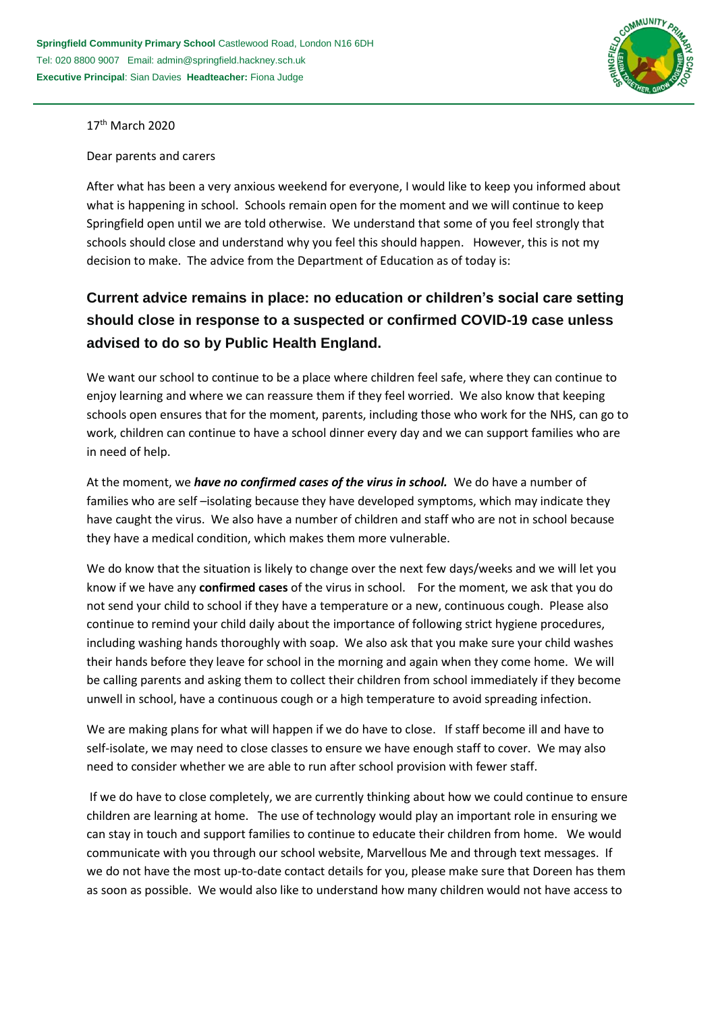

17<sup>th</sup> March 2020

Dear parents and carers

After what has been a very anxious weekend for everyone, I would like to keep you informed about what is happening in school. Schools remain open for the moment and we will continue to keep Springfield open until we are told otherwise. We understand that some of you feel strongly that schools should close and understand why you feel this should happen. However, this is not my decision to make. The advice from the Department of Education as of today is:

## **Current advice remains in place: no education or children's social care setting should close in response to a suspected or confirmed COVID-19 case unless advised to do so by Public Health England.**

We want our school to continue to be a place where children feel safe, where they can continue to enjoy learning and where we can reassure them if they feel worried. We also know that keeping schools open ensures that for the moment, parents, including those who work for the NHS, can go to work, children can continue to have a school dinner every day and we can support families who are in need of help.

At the moment, we *have no confirmed cases of the virus in school.* We do have a number of families who are self –isolating because they have developed symptoms, which may indicate they have caught the virus. We also have a number of children and staff who are not in school because they have a medical condition, which makes them more vulnerable.

We do know that the situation is likely to change over the next few days/weeks and we will let you know if we have any **confirmed cases** of the virus in school. For the moment, we ask that you do not send your child to school if they have a temperature or a new, continuous cough. Please also continue to remind your child daily about the importance of following strict hygiene procedures, including washing hands thoroughly with soap. We also ask that you make sure your child washes their hands before they leave for school in the morning and again when they come home. We will be calling parents and asking them to collect their children from school immediately if they become unwell in school, have a continuous cough or a high temperature to avoid spreading infection.

We are making plans for what will happen if we do have to close. If staff become ill and have to self-isolate, we may need to close classes to ensure we have enough staff to cover. We may also need to consider whether we are able to run after school provision with fewer staff.

If we do have to close completely, we are currently thinking about how we could continue to ensure children are learning at home. The use of technology would play an important role in ensuring we can stay in touch and support families to continue to educate their children from home. We would communicate with you through our school website, Marvellous Me and through text messages. If we do not have the most up-to-date contact details for you, please make sure that Doreen has them as soon as possible. We would also like to understand how many children would not have access to